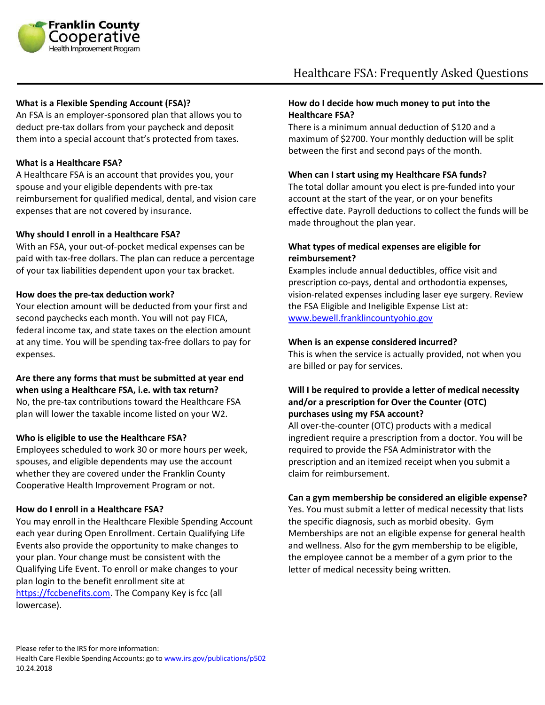

## **What is a Flexible Spending Account (FSA)?**

An FSA is an employer-sponsored plan that allows you to deduct pre-tax dollars from your paycheck and deposit them into a special account that's protected from taxes.

## **What is a Healthcare FSA?**

A Healthcare FSA is an account that provides you, your spouse and your eligible dependents with pre-tax reimbursement for qualified medical, dental, and vision care expenses that are not covered by insurance.

## **Why should I enroll in a Healthcare FSA?**

With an FSA, your out-of-pocket medical expenses can be paid with tax-free dollars. The plan can reduce a percentage of your tax liabilities dependent upon your tax bracket.

## **How does the pre-tax deduction work?**

Your election amount will be deducted from your first and second paychecks each month. You will not pay FICA, federal income tax, and state taxes on the election amount at any time. You will be spending tax-free dollars to pay for expenses.

## **Are there any forms that must be submitted at year end when using a Healthcare FSA, i.e. with tax return?**

No, the pre-tax contributions toward the Healthcare FSA plan will lower the taxable income listed on your W2.

## **Who is eligible to use the Healthcare FSA?**

Employees scheduled to work 30 or more hours per week, spouses, and eligible dependents may use the account whether they are covered under the Franklin County Cooperative Health Improvement Program or not.

## **How do I enroll in a Healthcare FSA?**

You may enroll in the Healthcare Flexible Spending Account each year during Open Enrollment. Certain Qualifying Life Events also provide the opportunity to make changes to your plan. Your change must be consistent with the Qualifying Life Event. To enroll or make changes to your plan login to the benefit enrollment site at [https://fccbenefits.com.](https://fccbenefits.com/) The Company Key is fcc (all lowercase).

## **How do I decide how much money to put into the Healthcare FSA?**

There is a minimum annual deduction of \$120 and a maximum of \$2700. Your monthly deduction will be split between the first and second pays of the month.

#### **When can I start using my Healthcare FSA funds?**

The total dollar amount you elect is pre-funded into your account at the start of the year, or on your benefits effective date. Payroll deductions to collect the funds will be made throughout the plan year.

## **What types of medical expenses are eligible for reimbursement?**

Examples include annual deductibles, office visit and prescription co-pays, dental and orthodontia expenses, vision-related expenses including laser eye surgery. Review the FSA Eligible and Ineligible Expense List at: [www.bewell.franklincountyohio.gov](http://www.bewell.franklincountyohio.gov/)

#### **When is an expense considered incurred?**

This is when the service is actually provided, not when you are billed or pay for services.

## **Will I be required to provide a letter of medical necessity and/or a prescription for Over the Counter (OTC) purchases using my FSA account?**

All over-the-counter (OTC) products with a medical ingredient require a prescription from a doctor. You will be required to provide the FSA Administrator with the prescription and an itemized receipt when you submit a claim for reimbursement.

## **Can a gym membership be considered an eligible expense?**

Yes. You must submit a letter of medical necessity that lists the specific diagnosis, such as morbid obesity. Gym Memberships are not an eligible expense for general health and wellness. Also for the gym membership to be eligible, the employee cannot be a member of a gym prior to the letter of medical necessity being written.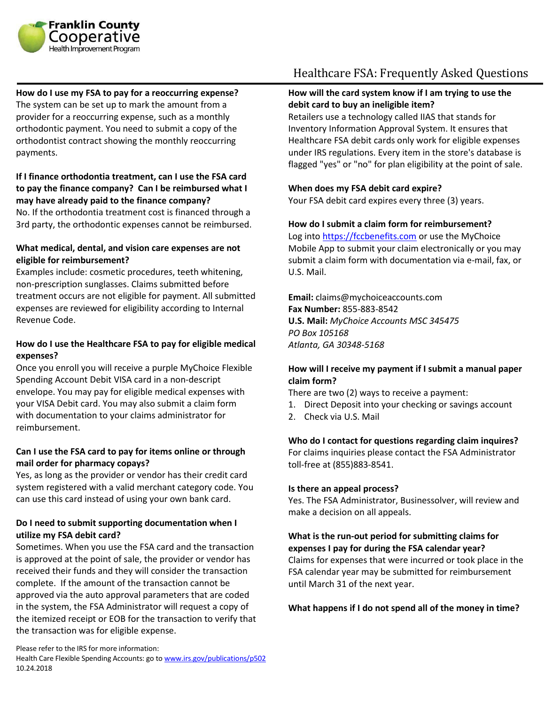

**How do I use my FSA to pay for a reoccurring expense?** The system can be set up to mark the amount from a provider for a reoccurring expense, such as a monthly orthodontic payment. You need to submit a copy of the orthodontist contract showing the monthly reoccurring payments.

## **If I finance orthodontia treatment, can I use the FSA card to pay the finance company? Can I be reimbursed what I may have already paid to the finance company?**

No. If the orthodontia treatment cost is financed through a 3rd party, the orthodontic expenses cannot be reimbursed.

## **What medical, dental, and vision care expenses are not eligible for reimbursement?**

Examples include: cosmetic procedures, teeth whitening, non-prescription sunglasses. Claims submitted before treatment occurs are not eligible for payment. All submitted expenses are reviewed for eligibility according to Internal Revenue Code.

## **How do I use the Healthcare FSA to pay for eligible medical expenses?**

Once you enroll you will receive a purple MyChoice Flexible Spending Account Debit VISA card in a non-descript envelope. You may pay for eligible medical expenses with your VISA Debit card. You may also submit a claim form with documentation to your claims administrator for reimbursement.

## **Can I use the FSA card to pay for items online or through mail order for pharmacy copays?**

Yes, as long as the provider or vendor has their credit card system registered with a valid merchant category code. You can use this card instead of using your own bank card.

## **Do I need to submit supporting documentation when I utilize my FSA debit card?**

Sometimes. When you use the FSA card and the transaction is approved at the point of sale, the provider or vendor has received their funds and they will consider the transaction complete. If the amount of the transaction cannot be approved via the auto approval parameters that are coded in the system, the FSA Administrator will request a copy of the itemized receipt or EOB for the transaction to verify that the transaction was for eligible expense.

# Healthcare FSA: Frequently Asked Questions

## **How will the card system know if I am trying to use the debit card to buy an ineligible item?**

Retailers use a technology called IIAS that stands for Inventory Information Approval System. It ensures that Healthcare FSA debit cards only work for eligible expenses under IRS regulations. Every item in the store's database is flagged "yes" or "no" for plan eligibility at the point of sale.

## **When does my FSA debit card expire?**

Your FSA debit card expires every three (3) years.

## **How do I submit a claim form for reimbursement?**

Log into [https://fccbenefits.com](https://fccbenefits.com/) or use the MyChoice Mobile App to submit your claim electronically or you may submit a claim form with documentation via e-mail, fax, or U.S. Mail.

**Email:** claims@mychoiceaccounts.com **Fax Number:** 855-883-8542 **U.S. Mail:** *MyChoice Accounts MSC 345475 PO Box 105168 Atlanta, GA 30348-5168*

## **How will I receive my payment if I submit a manual paper claim form?**

There are two (2) ways to receive a payment:

- 1. Direct Deposit into your checking or savings account
- 2. Check via U.S. Mail

## **Who do I contact for questions regarding claim inquires?**

For claims inquiries please contact the FSA Administrator toll-free at (855)883-8541.

## **Is there an appeal process?**

Yes. The FSA Administrator, Businessolver, will review and make a decision on all appeals.

## **What is the run-out period for submitting claims for expenses I pay for during the FSA calendar year?**

Claims for expenses that were incurred or took place in the FSA calendar year may be submitted for reimbursement until March 31 of the next year.

## **What happens if I do not spend all of the money in time?**

Please refer to the IRS for more information:

Health Care Flexible Spending Accounts: go t[o www.irs.gov/publications/p502](http://www.irs.gov/publications/p502) 10.24.2018